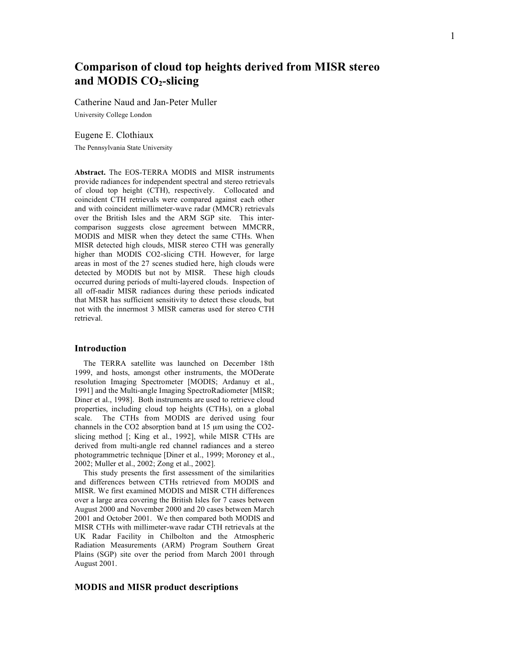# **Comparison of cloud top heights derived from MISR stereo and MODIS CO2-slicing**

Catherine Naud and Jan-Peter Muller

University College London

### Eugene E. Clothiaux

The Pennsylvania State University

**Abstract.** The EOS-TERRA MODIS and MISR instruments provide radiances for independent spectral and stereo retrievals of cloud top height (CTH), respectively. Collocated and coincident CTH retrievals were compared against each other and with coincident millimeter-wave radar (MMCR) retrievals over the British Isles and the ARM SGP site. This intercomparison suggests close agreement between MMCRR, MODIS and MISR when they detect the same CTHs. When MISR detected high clouds, MISR stereo CTH was generally higher than MODIS CO2-slicing CTH. However, for large areas in most of the 27 scenes studied here, high clouds were detected by MODIS but not by MISR. These high clouds occurred during periods of multi-layered clouds. Inspection of all off-nadir MISR radiances during these periods indicated that MISR has sufficient sensitivity to detect these clouds, but not with the innermost 3 MISR cameras used for stereo CTH retrieval.

## **Introduction**

The TERRA satellite was launched on December 18th 1999, and hosts, amongst other instruments, the MODerate resolution Imaging Spectrometer [MODIS; Ardanuy et al., 1991] and the Multi-angle Imaging SpectroRadiometer [MISR; Diner et al., 1998]. Both instruments are used to retrieve cloud properties, including cloud top heights (CTHs), on a global scale. The CTHs from MODIS are derived using four channels in the CO2 absorption band at 15 µm using the CO2 slicing method [; King et al., 1992], while MISR CTHs are derived from multi-angle red channel radiances and a stereo photogrammetric technique [Diner et al., 1999; Moroney et al., 2002; Muller et al., 2002; Zong et al., 2002].

This study presents the first assessment of the similarities and differences between CTHs retrieved from MODIS and MISR. We first examined MODIS and MISR CTH differences over a large area covering the British Isles for 7 cases between August 2000 and November 2000 and 20 cases between March 2001 and October 2001. We then compared both MODIS and MISR CTHs with millimeter-wave radar CTH retrievals at the UK Radar Facility in Chilbolton and the Atmospheric Radiation Measurements (ARM) Program Southern Great Plains (SGP) site over the period from March 2001 through August 2001.

## **MODIS and MISR product descriptions**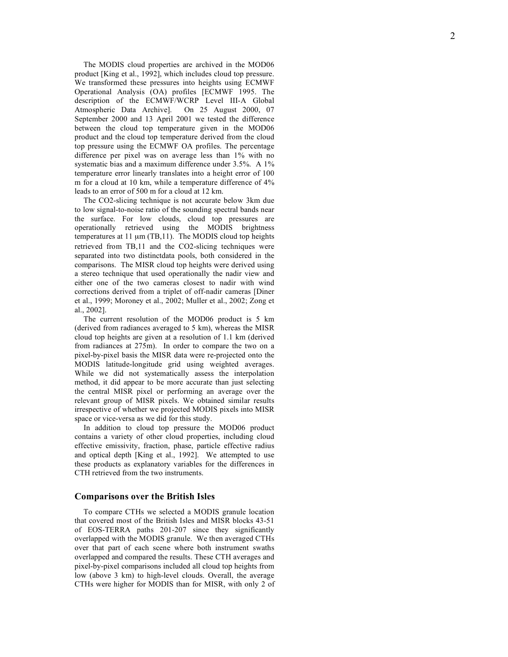The MODIS cloud properties are archived in the MOD06 product [King et al., 1992], which includes cloud top pressure. We transformed these pressures into heights using ECMWF Operational Analysis (OA) profiles [ECMWF 1995. The description of the ECMWF/WCRP Level III-A Global Atmospheric Data Archive]. On 25 August 2000, 07 September 2000 and 13 April 2001 we tested the difference between the cloud top temperature given in the MOD06 product and the cloud top temperature derived from the cloud top pressure using the ECMWF OA profiles. The percentage difference per pixel was on average less than 1% with no systematic bias and a maximum difference under 3.5%. A 1% temperature error linearly translates into a height error of 100 m for a cloud at 10 km, while a temperature difference of 4% leads to an error of 500 m for a cloud at 12 km.

The CO2-slicing technique is not accurate below 3km due to low signal-to-noise ratio of the sounding spectral bands near the surface. For low clouds, cloud top pressures are operationally retrieved using the MODIS brightness temperatures at  $11 \mu m$  (TB,11). The MODIS cloud top heights retrieved from TB,11 and the CO2-slicing techniques were separated into two distinctdata pools, both considered in the comparisons. The MISR cloud top heights were derived using a stereo technique that used operationally the nadir view and either one of the two cameras closest to nadir with wind corrections derived from a triplet of off-nadir cameras [Diner et al., 1999; Moroney et al., 2002; Muller et al., 2002; Zong et al., 2002].

The current resolution of the MOD06 product is 5 km (derived from radiances averaged to 5 km), whereas the MISR cloud top heights are given at a resolution of 1.1 km (derived from radiances at 275m). In order to compare the two on a pixel-by-pixel basis the MISR data were re-projected onto the MODIS latitude-longitude grid using weighted averages. While we did not systematically assess the interpolation method, it did appear to be more accurate than just selecting the central MISR pixel or performing an average over the relevant group of MISR pixels. We obtained similar results irrespective of whether we projected MODIS pixels into MISR space or vice-versa as we did for this study.

In addition to cloud top pressure the MOD06 product contains a variety of other cloud properties, including cloud effective emissivity, fraction, phase, particle effective radius and optical depth [King et al., 1992]. We attempted to use these products as explanatory variables for the differences in CTH retrieved from the two instruments.

# **Comparisons over the British Isles**

To compare CTHs we selected a MODIS granule location that covered most of the British Isles and MISR blocks 43-51 of EOS-TERRA paths 201-207 since they significantly overlapped with the MODIS granule. We then averaged CTHs over that part of each scene where both instrument swaths overlapped and compared the results. These CTH averages and pixel-by-pixel comparisons included all cloud top heights from low (above 3 km) to high-level clouds. Overall, the average CTHs were higher for MODIS than for MISR, with only 2 of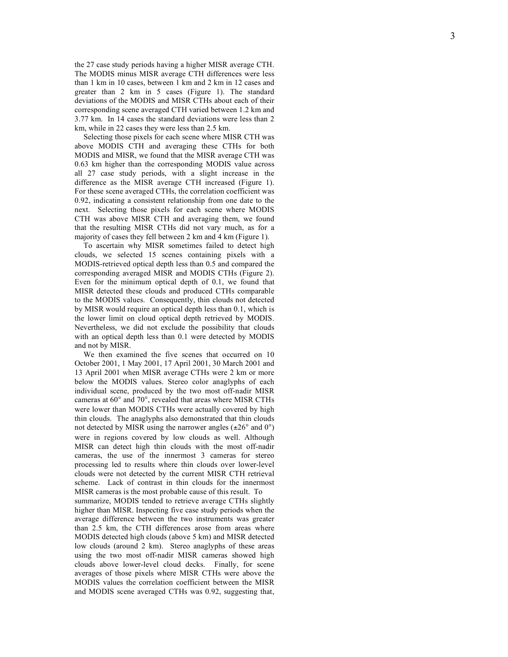the 27 case study periods having a higher MISR average CTH. The MODIS minus MISR average CTH differences were less than 1 km in 10 cases, between 1 km and 2 km in 12 cases and greater than 2 km in 5 cases (Figure 1). The standard deviations of the MODIS and MISR CTHs about each of their corresponding scene averaged CTH varied between 1.2 km and 3.77 km. In 14 cases the standard deviations were less than 2 km, while in 22 cases they were less than 2.5 km.

Selecting those pixels for each scene where MISR CTH was above MODIS CTH and averaging these CTHs for both MODIS and MISR, we found that the MISR average CTH was 0.63 km higher than the corresponding MODIS value across all 27 case study periods, with a slight increase in the difference as the MISR average CTH increased (Figure 1). For these scene averaged CTHs, the correlation coefficient was 0.92, indicating a consistent relationship from one date to the next. Selecting those pixels for each scene where MODIS CTH was above MISR CTH and averaging them, we found that the resulting MISR CTHs did not vary much, as for a majority of cases they fell between 2 km and 4 km (Figure 1).

To ascertain why MISR sometimes failed to detect high clouds, we selected 15 scenes containing pixels with a MODIS-retrieved optical depth less than 0.5 and compared the corresponding averaged MISR and MODIS CTHs (Figure 2). Even for the minimum optical depth of  $0.1$ , we found that MISR detected these clouds and produced CTHs comparable to the MODIS values. Consequently, thin clouds not detected by MISR would require an optical depth less than 0.1, which is the lower limit on cloud optical depth retrieved by MODIS. Nevertheless, we did not exclude the possibility that clouds with an optical depth less than 0.1 were detected by MODIS an d n o t b y MISR.

We then examined the five scenes that occurred on 10 October 2001, 1 May 2001, 17 April 2001, 30 March 2001 and 13 April 2001 when MISR average CTHs were 2 km or more below the MODIS values. Stereo color anaglyphs of each individual scene, produced by the two most off-nadir MISR cameras at 60° and 70°, revealed that areas where MISR CTHs were lower than MODIS CTHs were actually covered by high thin clouds. The anaglyphs also demonstrated that thin clouds not detected by MISR using the narrower angles  $(\pm 26^\circ$  and  $0^\circ)$ were in regions covered by low clouds as well. Although MISR can detect high thin clouds with the most off-nadir cameras, the use of the innermost 3 cameras for stereo processing led to results where thin clouds over lower-level clouds were not detected by the current MISR CTH retrieval scheme. Lack of contrast in thin clouds for the innermost MISR cameras is the most probable cause of this result. To

summarize, MODIS tended to retrieve average CTHs slightly higher than MISR. Inspecting five case study periods when the average difference between the two instruments was greater than 2.5 km, the CTH differences arose from areas where MODIS detected high clouds (above 5 km) and MISR detected low clouds (around 2 km). Stereo anaglyphs of these areas using the two most off-nadir MISR cameras showed high clouds above lower-level cloud decks. Finally, for scene averages of those pixels where MISR CTHs were above the MODIS values the correlation coefficient between the MISR and MODIS scene averaged CTHs was 0.92, suggesting that,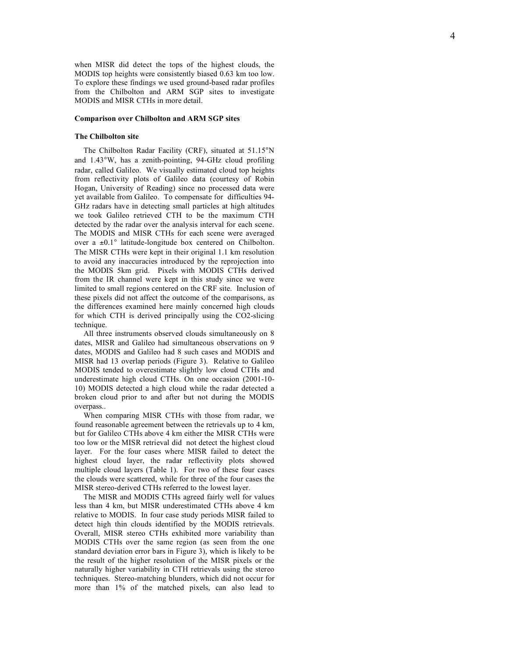when MISR did detect the tops of the highest clouds, the MODIS top heights were consistently biased 0.63 km too low. To explore these findings we used ground-based radar profiles from the Chilbolton and ARM SGP sites to investigate MODIS and MISR CTHs in more detail.

#### **Comparison over Chilbolton and ARM SGP sites**

#### **The Chilbolton site**

The Chilbolton Radar Facility (CRF), situated at 51.15°N and 1.43°W, has a zenith-pointing, 94-GHz cloud profiling radar, called Galileo. We visually estimated cloud top heights from reflectivity plots of Galileo data (courtesy of Robin Hogan, University of Reading) since no processed data were yet available from Galileo. To compensate for difficulties 94-GHz radars have in detecting small particles at high altitudes we took Galileo retrieved CTH to be the maximum CTH detected by the radar over the analysis interval for each scene. The MODIS and MISR CTHs for each scene were averaged over a  $\pm 0.1^\circ$  latitude-longitude box centered on Chilbolton. The MISR CTHs were kept in their original 1.1 km resolution to avoid any inaccuracies introduced by the reprojection into the MODIS 5km grid. Pixels with MODIS CTHs derived from the IR channel were kept in this study since we were limited to small regions centered on the CRF site. Inclusion of these pixels did not affect the outcome of the comparisons, as the differences examined here mainly concerned high clouds for which CTH is derived principally using the CO2-slicing technique.

All three instruments observed clouds simultaneously on 8 dates, MISR and Galileo had simultaneous observations on 9 dates, MODIS and Galileo had 8 such cases and MODIS and MISR had 13 overlap periods (Figure 3). Relative to Galileo MODIS tended to overestimate slightly low cloud CTHs and underestimate high cloud CTHs. On one occasion (2001-10-10) MODIS detected a high cloud while the radar detected a broken cloud prior to and after but not during the MODIS overpass..

When comparing MISR CTHs with those from radar, we found reasonable agreement between the retrievals up to 4 km, but for Galileo CTHs above 4 km either the MISR CTHs were too low or the MISR retrieval did not detect the highest cloud layer. For the four cases where MISR failed to detect the highest cloud layer, the radar reflectivity plots showed multiple cloud layers (Table 1). For two of these four cases the clouds were scattered, while for three of the four cases the MISR stereo-derived CTHs referred to the lowest layer.

The MISR and MODIS CTHs agreed fairly well for values less than 4 km, but MISR underestimated CTHs above 4 km relative to MODIS. In four case study periods MISR failed to detect high thin clouds identified by the MODIS retrievals. Overall, MISR stereo CTHs exhibited more variability than MODIS CTHs over the same region (as seen from the one standard deviation error bars in Figure 3), which is likely to be the result of the higher resolution of the MISR pixels or the naturally higher variability in CTH retrievals using the stereo techniques. Stereo-matching blunders, which did not occur for more than 1% of the matched pixels, can also lead to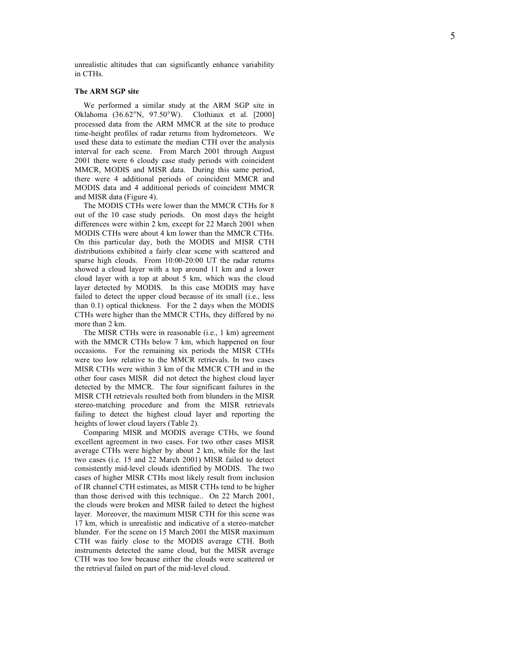unrealistic altitudes that can significantly enhance variability i n CT H s .

#### **Th e A R M S G P s ite**

We performed a similar study at the ARM SGP site in Oklahoma (36.62°N, 97.50°W). Clothiaux et al. [2000] processed data from the ARM MMCR at the site to produce time-height profiles of radar returns from hydrometeors. We used these data to estimate the median CTH over the analysis interval for each scene. From March 2001 through August 2001 there were 6 cloudy case study periods with coincident MMCR, MODIS and MISR data. During this same period, there were 4 additional periods of coincident MMCR and MODIS data and 4 additional periods of coincident MMCR and MISR data (Figure 4).

The MODIS CTHs were lower than the MMCR CTHs for 8 out of the 10 case study periods. On most days the height differences were within 2 km, except for 22 March 2001 when MODIS CTHs were about 4 km lower than the MMCR CTHs. On this particular day, both the MODIS and MISR CTH distributions exhibited a fairly clear scene with scattered and sparse high clouds. From 10:00-20:00 UT the radar returns showed a cloud layer with a top around 11 km and a lower cloud layer with a top at about 5 km, which was the cloud layer detected by MODIS. In this case MODIS may have failed to detect the upper cloud because of its small (i.e., less than  $0.1$ ) optical thickness. For the 2 days when the MODIS CTHs were higher than the MMCR CTHs, they differed by no more than 2 km.

The MISR CTHs were in reasonable (i.e., 1 km) agreement with the MMCR CTHs below 7 km, which happened on four occasions. For the remaining six periods the MISR CTHs were too low relative to the MMCR retrievals. In two cases MISR CTHs were within 3 km of the MMCR CTH and in the other four cases MISR did not detect the highest cloud layer detected by the MMCR. The four significant failures in the MISR CTH retrievals resulted both from blunders in the MISR stereo-matching procedure and from the MISR retrievals failing to detect the highest cloud layer and reporting the heights of lower cloud layers (Table 2).

Comparing MISR and MODIS average CTHs, we found excellent agreement in two cases. For two other cases MISR average CTHs were higher by about 2 km, while for the last two cases (i.e. 15 and 22 March 2001) MISR failed to detect consistently mid-level clouds identified by MODIS. The two cases of higher MISR CTHs most likely result from inclusion of IR channel CTH estimates, as MISR CTHs tend to be higher than those derived with this technique.. On 22 March 2001, the clouds were broken and MISR failed to detect the highest layer. Moreover, the maximum MISR CTH for this scene was 17 km, which is unrealistic and indicative of a stereo-matcher blunder. For the scene on 15 March 2001 the MISR maximum CTH was fairly close to the MODIS average CTH. Both instruments detected the same cloud, but the MISR average CTH was too low because either the clouds were scattered or the retrieval failed on part of the mid-level cloud.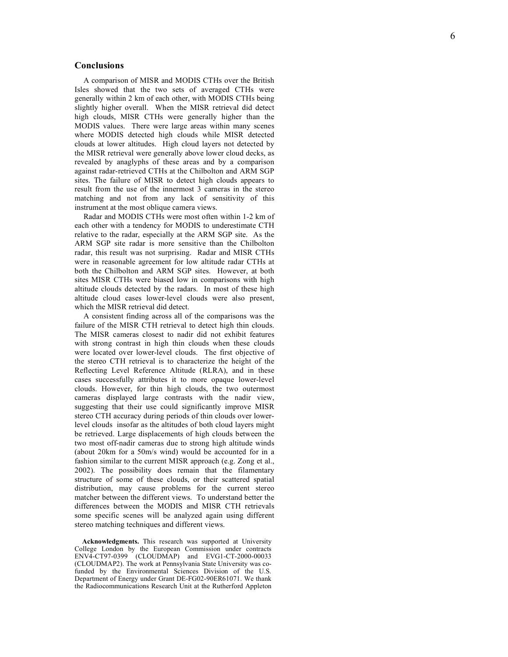# **Conclusions**

A comparison of MISR and MODIS CTHs over the British Isles showed that the two sets of averaged CTHs were generally within 2 km of each other, with MODIS CTHs being slightly higher overall. When the MISR retrieval did detect high clouds, MISR CTHs were generally higher than the MODIS values. There were large areas within many scenes where MODIS detected high clouds while MISR detected clouds at lower altitudes. High cloud layers not detected by the MISR retrieval were generally above lower cloud decks, as revealed by anaglyphs of these areas and by a comparison against radar-retrieved CTHs at the Chilbolton and ARM SGP sites. The failure of MISR to detect high clouds appears to result from the use of the innermost 3 cameras in the stereo matching and not from any lack of sensitivity of this instrument at the most oblique camera views.

Radar and MODIS CTHs were most often within 1-2 km of each other with a tendency for MODIS to underestimate CTH relative to the radar, especially at the ARM SGP site. As the ARM SGP site radar is more sensitive than the Chilbolton radar, this result was not surprising. Radar and MISR CTHs were in reasonable agreement for low altitude radar CTHs at both the Chilbolton and ARM SGP sites. However, at both sites MISR CTHs were biased low in comparisons with high altitude clouds detected by the radars. In most of these high altitude cloud cases lower-level clouds were also present, which the MISR retrieval did detect.

A consistent finding across all of the comparisons was the failure of the MISR CTH retrieval to detect high thin clouds. The MISR cameras closest to nadir did not exhibit features with strong contrast in high thin clouds when these clouds were located over lower-level clouds. The first objective of the stereo CTH retrieval is to characterize the height of the Reflecting Level Reference Altitude (RLRA), and in these cases successfully attributes it to more opaque lower-level clouds. However, for thin high clouds, the two outermost cameras displayed large contrasts with the nadir view, suggesting that their use could significantly improve MISR stereo CTH accuracy during periods of thin clouds over lowerlevel clouds insofar as the altitudes of both cloud layers might be retrieved. Large displacements of high clouds between the two most off-nadir cameras due to strong high altitude winds (about 20km for a 50m/s wind) would be accounted for in a fashion similar to the current MISR approach (e.g. Zong et al., 2002). The possibility does remain that the filamentary structure of some of these clouds, or their scattered spatial distribution, may cause problems for the current stereo matcher between the different views. To understand better the differences between the MODIS and MISR CTH retrievals some specific scenes will be analyzed again using different stereo matching techniques and different views.

Acknowledgments. This research was supported at University College London by the European Commission under contracts ENV4-CT97-0399 (CLOUDMAP) and EVG1-CT-2000-00033 (CLOUDMAP2). The work at Pennsylvania State University was cofunded by the Environmental Sciences Division of the U.S. Department of Energy under Grant DE-FG02-90ER61071. We thank the Radiocommunications Research Unit at the Rutherford Appleton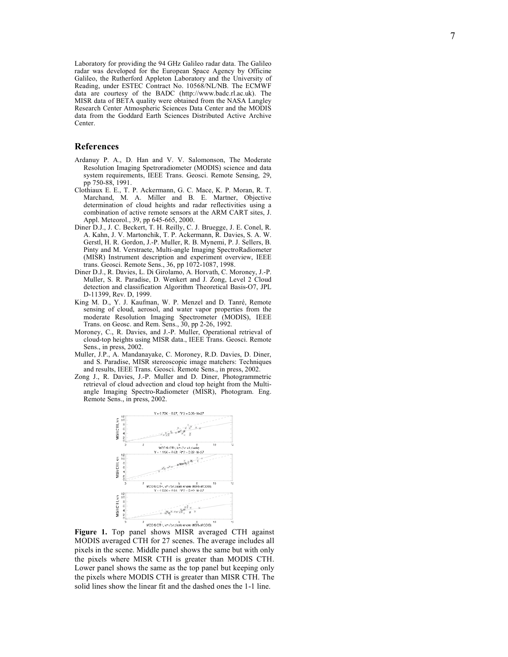Laboratory for providing the 94 GHz Galileo radar data. The Galileo radar was developed for the European Space Agency by Officine Galileo, the Rutherford Appleton Laboratory and the University of Reading, under ESTEC Contract No. 10568/NL/NB. The ECMWF data are courtesy of the BADC (http://www.badc.rl.ac.uk). The MISR data of BETA quality were obtained from the NASA Langley Research Center Atmospheric Sciences Data Center and the MODIS data from the Goddard Earth Sciences Distributed Active Archive Center.

# **References**

- Ardanuy P. A., D. Han and V. V. Salomonson, The Moderate Resolution Imaging Spetroradiometer (MODIS) science and data system requirements, IEEE Trans. Geosci. Remote Sensing, 29, pp 750-88, 1991.
- Clothiaux E. E., T. P. Ackermann, G. C. Mace, K. P. Moran, R. T. Marchand, M. A. Miller and B. E. Martner, Objective determination of cloud heights and radar reflectivities using a combination of active remote sensors at the ARM CART sites, J. Appl. Meteorol., 39, pp 645-665, 2000.
- Diner D.J., J. C. Beckert, T. H. Reilly, C. J. Bruegge, J. E. Conel, R. A. Kahn, J. V. Martonchik, T. P. Ackermann, R. Davies, S. A. W. Gerstl, H. R. Gordon, J.-P. Muller, R. B. Mynemi, P. J. Sellers, B. Pinty and M. Verstraete, Multi-angle Imaging SpectroRadiometer (MISR) Instrument description and experiment overview, IEEE trans. Geosci. Remote Sens., 36, pp 1072-1087, 1998.
- Diner D.J., R. Davies, L. Di Girolamo, A. Horvath, C. Moroney, J.-P. Muller, S. R. Paradise, D. Wenkert and J. Zong, Level 2 Cloud detection and classification Algorithm Theoretical Basis-O7, JPL D-11399, Rev. D, 1999.
- King M. D., Y. J. Kaufman, W. P. Menzel and D. Tanré, Remote sensing of cloud, aerosol, and water vapor properties from the moderate Resolution Imaging Spectrometer (MODIS), IEEE Trans. on Geosc. and Rem. Sens., 30, pp 2-26, 1992.
- Moroney, C., R. Davies, and J.-P. Muller, Operational retrieval of cloud-top heights using MISR data., IEEE Trans. Geosci. Remote Sens., in press, 2002.
- Muller, J.P., A. Mandanayake, C. Moroney, R.D. Davies, D. Diner, and S. Paradise, MISR stereoscopic image matchers: Techniques and results, IEEE Trans. Geosci. Remote Sens., in press, 2002.
- Zong J., R. Davies, J.-P. Muller and D. Diner, Photogrammetric retrieval of cloud advection and cloud top height from the Multiangle Imaging Spectro-Radiometer (MISR), Photogram. Eng. Remote Sens., in press, 2002.



Figure 1. Top panel shows MISR averaged CTH against MODIS averaged CTH for 27 scenes. The average includes all pixels in the scene. Middle panel shows the same but with only the pixels where MISR CTH is greater than MODIS CTH. Lower panel shows the same as the top panel but keeping only the pixels where MODIS CTH is greater than MISR CTH. The solid lines show the linear fit and the dashed ones the 1-1 line.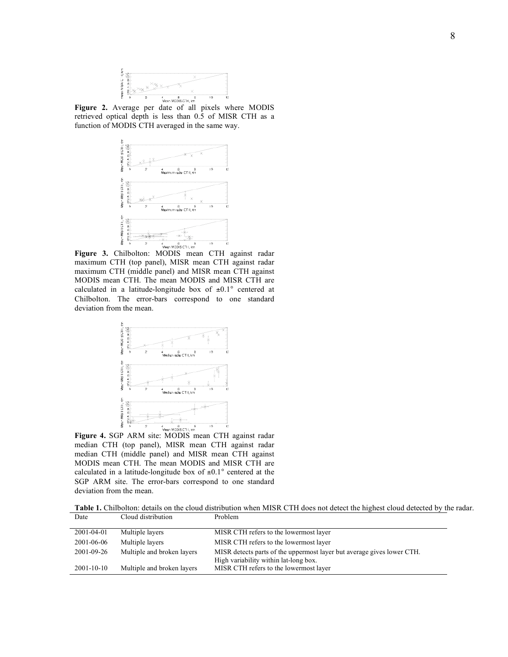

**Figure 2.** Average per date of all pixels where MODIS retrieved optical depth is less than 0.5 of MISR CTH as a function of MODIS CTH averaged in the same way.



**Figure 3.** Chilbolton: MODIS mean CTH against radar maximum CTH (top panel), MISR mean CTH against radar maximum CTH (middle panel) and MISR mean CTH against MODIS mean CTH. The mean MODIS and MISR CTH are calculated in a latitude-longitude box of  $\pm 0.1^\circ$  centered at Chilbolton. The error-bars correspond to one standard deviation from the mean.



**Figure 4.** SGP ARM site: MODIS mean CTH against radar median CTH (top panel), MISR mean CTH against radar median CTH (middle panel) and MISR mean CTH against MODIS mean CTH. The mean MODIS and MISR CTH are calculated in a latitude-longitude box of  $\pm 0.1^\circ$  centered at the SGP ARM site. The error-bars correspond to one standard deviation from the mean.

**Table 1.** Chilbolton: details on the cloud distribution when MISR CTH does not detect the highest cloud detected by the radar. Date Cloud distribution Problem

| 2001-04-01       | Multiple layers            | MISR CTH refers to the lowermost layer                                                                          |
|------------------|----------------------------|-----------------------------------------------------------------------------------------------------------------|
| 2001-06-06       | Multiple layers            | MISR CTH refers to the lowermost layer                                                                          |
| 2001-09-26       | Multiple and broken layers | MISR detects parts of the uppermost layer but average gives lower CTH.<br>High variability within lat-long box. |
| $2001 - 10 - 10$ | Multiple and broken layers | MISR CTH refers to the lowermost layer                                                                          |